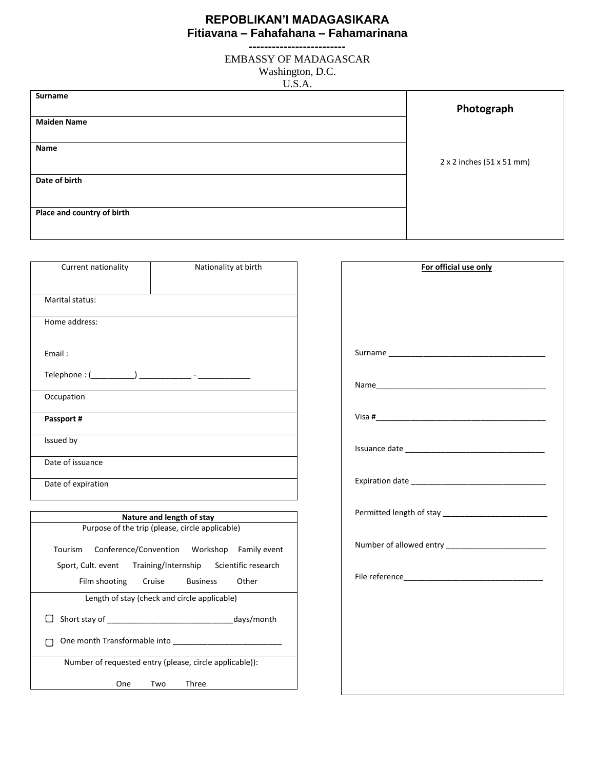## **REPOBLIKAN'I MADAGASIKARA Fitiavana – Fahafahana – Fahamarinana -------------------------**

EMBASSY OF MADAGASCAR Washington, D.C.

| ×<br>۰. | v<br>۹<br>$\sim$ | I<br>٠ |
|---------|------------------|--------|
|         |                  |        |

| $U. U. \Lambda.$           |                           |
|----------------------------|---------------------------|
| Surname                    | Photograph                |
| <b>Maiden Name</b>         |                           |
| Name                       |                           |
|                            | 2 x 2 inches (51 x 51 mm) |
| Date of birth              |                           |
|                            |                           |
| Place and country of birth |                           |
|                            |                           |

| Current nationality                                     | Nationality at birth                                       |  |
|---------------------------------------------------------|------------------------------------------------------------|--|
| Marital status:                                         |                                                            |  |
|                                                         |                                                            |  |
| Home address:                                           |                                                            |  |
| Email:                                                  |                                                            |  |
|                                                         |                                                            |  |
| Occupation                                              |                                                            |  |
| Passport #                                              |                                                            |  |
| Issued by                                               |                                                            |  |
| Date of issuance                                        |                                                            |  |
| Date of expiration                                      |                                                            |  |
|                                                         | Nature and length of stay                                  |  |
|                                                         | Purpose of the trip (please, circle applicable)            |  |
|                                                         | Tourism Conference/Convention Workshop Family event        |  |
|                                                         | Sport, Cult. event Training/Internship Scientific research |  |
|                                                         | Film shooting Cruise Business Other                        |  |
|                                                         | Length of stay (check and circle applicable)               |  |
|                                                         |                                                            |  |
|                                                         |                                                            |  |
| Number of requested entry (please, circle applicable)): |                                                            |  |
| One                                                     | Two<br>Three                                               |  |

| <u> 1980 - Jan Albert III, prima po</u><br>For official use only |  |  |  |  |
|------------------------------------------------------------------|--|--|--|--|
|                                                                  |  |  |  |  |
|                                                                  |  |  |  |  |
|                                                                  |  |  |  |  |
|                                                                  |  |  |  |  |
|                                                                  |  |  |  |  |
|                                                                  |  |  |  |  |
|                                                                  |  |  |  |  |
|                                                                  |  |  |  |  |
|                                                                  |  |  |  |  |
|                                                                  |  |  |  |  |
|                                                                  |  |  |  |  |
|                                                                  |  |  |  |  |
|                                                                  |  |  |  |  |
|                                                                  |  |  |  |  |
|                                                                  |  |  |  |  |
|                                                                  |  |  |  |  |
|                                                                  |  |  |  |  |
|                                                                  |  |  |  |  |
|                                                                  |  |  |  |  |
|                                                                  |  |  |  |  |
|                                                                  |  |  |  |  |
|                                                                  |  |  |  |  |
|                                                                  |  |  |  |  |
|                                                                  |  |  |  |  |
|                                                                  |  |  |  |  |